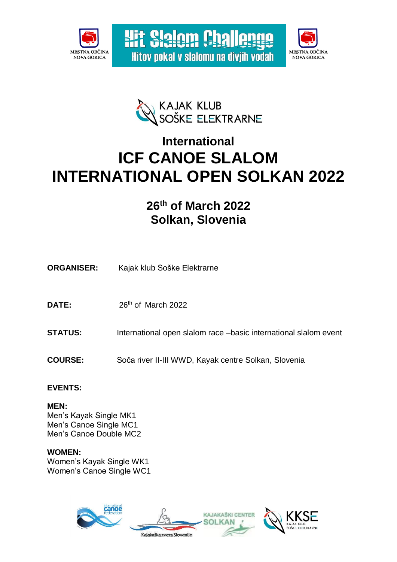





**Wit Slalom Challenge** 

Hitov pokal v slalomu na divjih vodah

# **International ICF CANOE SLALOM INTERNATIONAL OPEN SOLKAN 2022**

# **26 th of March 2022 Solkan, Slovenia**

- **ORGANISER:** Kajak klub Soške Elektrarne
- DATE: 26<sup>th</sup> of March 2022
- **STATUS:** International open slalom race –basic international slalom event
- **COURSE:** Soča river II-III WWD, Kayak centre Solkan, Slovenia

# **EVENTS:**

**MEN:** Men's Kayak Single MK1 Men's Canoe Single MC1 Men's Canoe Double MC2

**WOMEN:** Women's Kayak Single WK1 Women's Canoe Single WC1

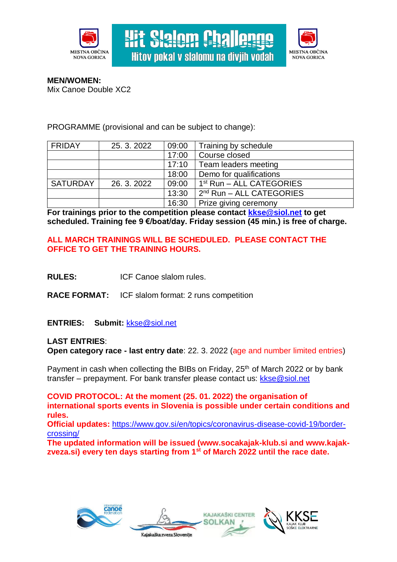

**Hit Slalom Challen** Hitov pokal v slalomu na diviih vodah



**MEN/WOMEN:** Mix Canoe Double XC2

PROGRAMME (provisional and can be subject to change):

| <b>FRIDAY</b>   | 25.3.2022 | 09:00 | Training by schedule                 |
|-----------------|-----------|-------|--------------------------------------|
|                 |           | 17:00 | Course closed                        |
|                 |           | 17:10 | Team leaders meeting                 |
|                 |           | 18:00 | Demo for qualifications              |
| <b>SATURDAY</b> | 26.3.2022 | 09:00 | 1 <sup>st</sup> Run - ALL CATEGORIES |
|                 |           | 13:30 | $2nd$ Run – ALL CATEGORIES           |
|                 |           | 16:30 | Prize giving ceremony                |

**For trainings prior to the competition please contact [kkse@siol.net](mailto:kkse@siol.net) to get scheduled. Training fee 9 €/boat/day. Friday session (45 min.) is free of charge.**

# **ALL MARCH TRAININGS WILL BE SCHEDULED. PLEASE CONTACT THE OFFICE TO GET THE TRAINING HOURS.**

- **RULES:** ICF Canoe slalom rules.
- **RACE FORMAT:** ICF slalom format: 2 runs competition

# **ENTRIES: Submit:** [kkse@siol.net](mailto:kkse@siol.net)

# **LAST ENTRIES**: **Open category race - last entry date**: 22. 3. 2022 (age and number limited entries)

Payment in cash when collecting the BIBs on Friday, 25<sup>th</sup> of March 2022 or by bank transfer – prepayment. For bank transfer please contact us: [kkse@siol.net](mailto:kkse@siol.net)

**COVID PROTOCOL: At the moment (25. 01. 2022) the organisation of international sports events in Slovenia is possible under certain conditions and rules. Official updates:** [https://www.gov.si/en/topics/coronavirus-disease-covid-19/border](https://www.gov.si/en/topics/coronavirus-disease-covid-19/border-crossing/)[crossing/](https://www.gov.si/en/topics/coronavirus-disease-covid-19/border-crossing/)

**The updated information will be issued (www.socakajak-klub.si and www.kajakzveza.si) every ten days starting from 1st of March 2022 until the race date.**







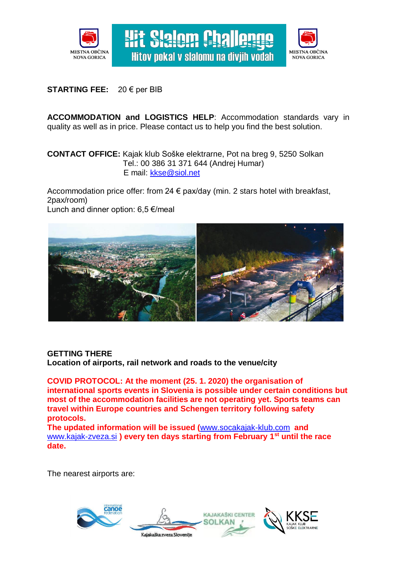



# **STARTING FEE:** 20 € per BIB

**ACCOMMODATION and LOGISTICS HELP**: Accommodation standards vary in quality as well as in price. Please contact us to help you find the best solution.

**Wit Slalom Challen** 

Hitov pokal v slalomu na diviih vodah

# **CONTACT OFFICE:** Kajak klub Soške elektrarne, Pot na breg 9, 5250 Solkan Tel.: 00 386 31 371 644 (Andrej Humar) E mail: [kkse@siol.net](mailto:kkse@siol.net)

Accommodation price offer: from 24 € pax/day (min. 2 stars hotel with breakfast, 2pax/room)

Lunch and dinner option: 6,5 €/meal



#### **GETTING THERE**

**Location of airports, rail network and roads to the venue/city**

**COVID PROTOCOL: At the moment (25. 1. 2020) the organisation of international sports events in Slovenia is possible under certain conditions but most of the accommodation facilities are not operating yet. Sports teams can travel within Europe countries and Schengen territory following safety protocols.**

**The updated information will be issued (**[www.socakajak-klub.com](http://www.socakajak-klub.com/) **and**  [www.kajak-zveza.si](http://www.kajak-zveza.si/) **) every ten days starting from February 1 st until the race date.**

The nearest airports are:

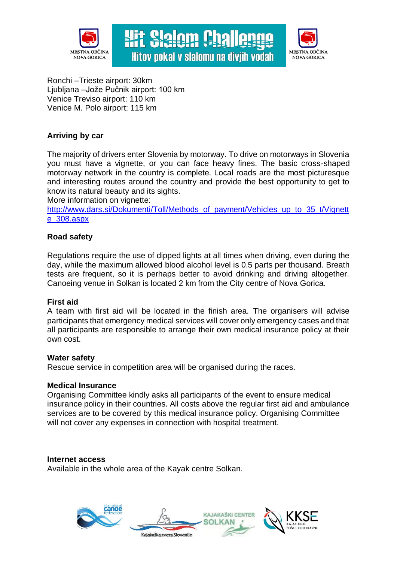



Ronchi –Trieste airport: 30km Ljubljana –Jože Pučnik airport: 100 km Venice Treviso airport: 110 km Venice M. Polo airport: 115 km

# **Arriving by car**

The majority of drivers enter Slovenia by motorway. To drive on motorways in Slovenia you must have a vignette, or you can face heavy fines. The basic cross-shaped motorway network in the country is complete. Local roads are the most picturesque and interesting routes around the country and provide the best opportunity to get to know its natural beauty and its sights.

**Wit Slalom Challer** 

Hitov pokal v slalomu na diviih vodah

More information on vignette:

[http://www.dars.si/Dokumenti/Toll/Methods\\_of\\_payment/Vehicles\\_up\\_to\\_35\\_t/Vignett](http://www.dars.si/Dokumenti/Toll/Methods_of_payment/Vehicles_up_to_35_t/Vignette_308.aspx) [e\\_308.aspx](http://www.dars.si/Dokumenti/Toll/Methods_of_payment/Vehicles_up_to_35_t/Vignette_308.aspx)

# **Road safety**

Regulations require the use of dipped lights at all times when driving, even during the day, while the maximum allowed blood alcohol level is 0.5 parts per thousand. Breath tests are frequent, so it is perhaps better to avoid drinking and driving altogether. Canoeing venue in Solkan is located 2 km from the City centre of Nova Gorica.

# **First aid**

A team with first aid will be located in the finish area. The organisers will advise participants that emergency medical services will cover only emergency cases and that all participants are responsible to arrange their own medical insurance policy at their own cost.

#### **Water safety**

Rescue service in competition area will be organised during the races.

#### **Medical Insurance**

Organising Committee kindly asks all participants of the event to ensure medical insurance policy in their countries. All costs above the regular first aid and ambulance services are to be covered by this medical insurance policy. Organising Committee will not cover any expenses in connection with hospital treatment.

#### **Internet access**

Available in the whole area of the Kayak centre Solkan.